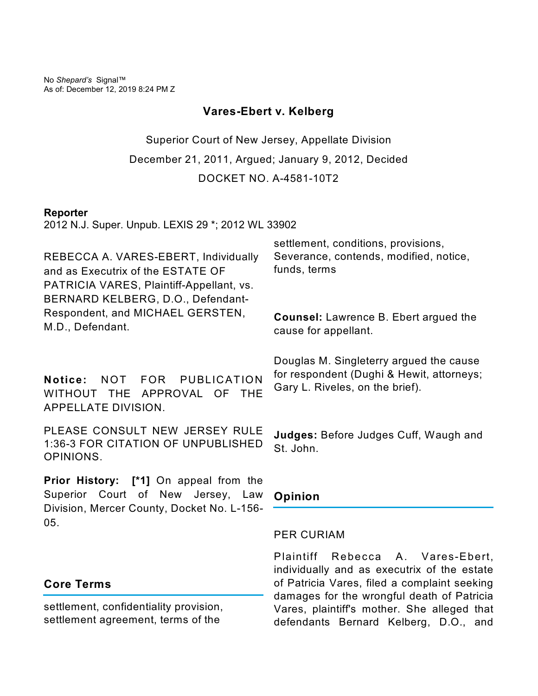No *Shepard's* Signal™ As of: December 12, 2019 8:24 PM Z

## **Vares-Ebert v. Kelberg**

Superior Court of New Jersey, Appellate Division December 21, 2011, Argued; January 9, 2012, Decided DOCKET NO. A-4581-10T2

#### **Reporter**

2012 N.J. Super. Unpub. LEXIS 29 \*; 2012 WL 33902

REBECCA A. VARES-EBERT, Individually and as Executrix of the ESTATE OF PATRICIA VARES, Plaintiff-Appellant, vs. BERNARD KELBERG, D.O., Defendant-Respondent, and MICHAEL GERSTEN, M.D., Defendant.

**Notice:** NOT FOR PUBLICATION WITHOUT THE APPROVAL OF THE APPELLATE DIVISION.

PLEASE CONSULT NEW JERSEY RULE 1:36-3 FOR CITATION OF UNPUBLISHED OPINIONS.

**Prior History: [\*1]** On appeal from the Superior Court of New Jersey, Law Division, Mercer County, Docket No. L-156- 05.

# settlement, conditions, provisions, Severance, contends, modified, notice, funds, terms

**Counsel:** Lawrence B. Ebert argued the cause for appellant.

Douglas M. Singleterry argued the cause for respondent (Dughi & Hewit, attorneys; Gary L. Riveles, on the brief).

**Judges:** Before Judges Cuff, Waugh and St. John.

## **Opinion**

#### PER CURIAM

Plaintiff Rebecca A. Vares-Ebert, individually and as executrix of the estate of Patricia Vares, filed a complaint seeking damages for the wrongful death of Patricia Vares, plaintiff's mother. She alleged that defendants Bernard Kelberg, D.O., and

## **Core Terms**

settlement, confidentiality provision, settlement agreement, terms of the